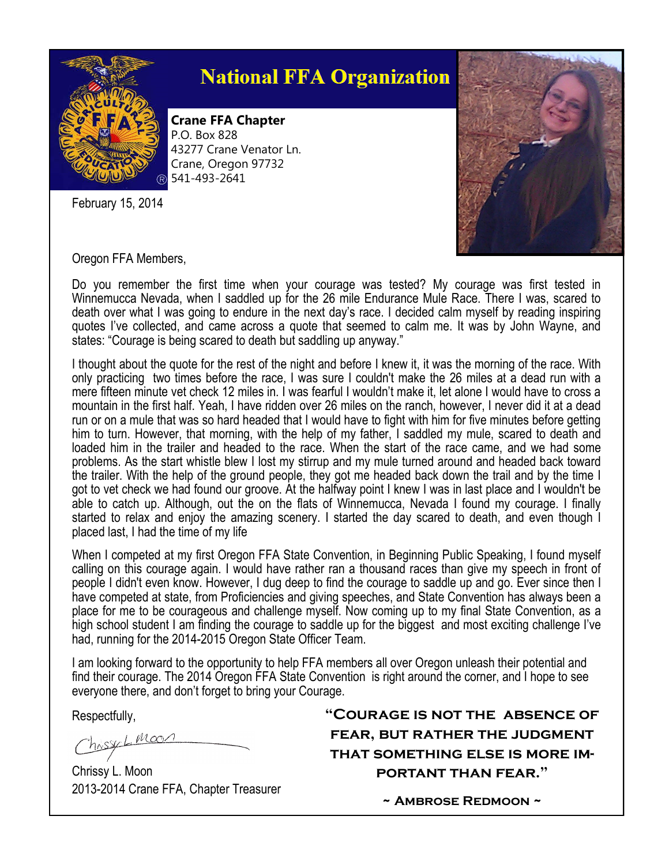

## **National FFA Organization**

**Crane FFA Chapter** P.O. Box 828 43277 Crane Venator Ln. Crane, Oregon 97732 541-493-2641

February 15, 2014



Oregon FFA Members,

Do you remember the first time when your courage was tested? My courage was first tested in Winnemucca Nevada, when I saddled up for the 26 mile Endurance Mule Race. There I was, scared to death over what I was going to endure in the next day's race. I decided calm myself by reading inspiring quotes I've collected, and came across a quote that seemed to calm me. It was by John Wayne, and states: "Courage is being scared to death but saddling up anyway."

I thought about the quote for the rest of the night and before I knew it, it was the morning of the race. With only practicing two times before the race, I was sure I couldn't make the 26 miles at a dead run with a mere fifteen minute vet check 12 miles in. I was fearful I wouldn't make it, let alone I would have to cross a mountain in the first half. Yeah, I have ridden over 26 miles on the ranch, however, I never did it at a dead run or on a mule that was so hard headed that I would have to fight with him for five minutes before getting him to turn. However, that morning, with the help of my father, I saddled my mule, scared to death and loaded him in the trailer and headed to the race. When the start of the race came, and we had some problems. As the start whistle blew I lost my stirrup and my mule turned around and headed back toward the trailer. With the help of the ground people, they got me headed back down the trail and by the time I got to vet check we had found our groove. At the halfway point I knew I was in last place and I wouldn't be able to catch up. Although, out the on the flats of Winnemucca, Nevada I found my courage. I finally started to relax and enjoy the amazing scenery. I started the day scared to death, and even though I placed last, I had the time of my life

When I competed at my first Oregon FFA State Convention, in Beginning Public Speaking, I found myself calling on this courage again. I would have rather ran a thousand races than give my speech in front of people I didn't even know. However, I dug deep to find the courage to saddle up and go. Ever since then I have competed at state, from Proficiencies and giving speeches, and State Convention has always been a place for me to be courageous and challenge myself. Now coming up to my final State Convention, as a high school student I am finding the courage to saddle up for the biggest and most exciting challenge I've had, running for the 2014-2015 Oregon State Officer Team.

I am looking forward to the opportunity to help FFA members all over Oregon unleash their potential and find their courage. The 2014 Oregon FFA State Convention is right around the corner, and I hope to see everyone there, and don't forget to bring your Courage.

Respectfully,

 $L_{1}$ Moo

Chrissy L. Moon 2013-2014 Crane FFA, Chapter Treasurer **"Courage is not the absence of fear, but rather the judgment that something else is more important than fear."**

**~ Ambrose Redmoon ~**